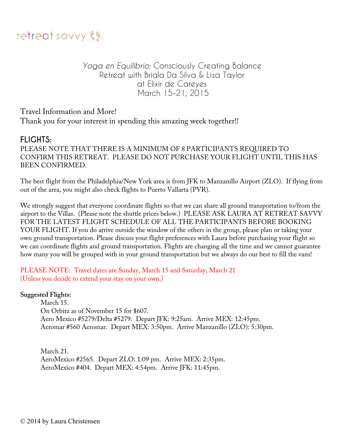

## *Yoga en Equilibrio:* Consciously Creating Balance Retreat with Briala Da Silva & Lisa Taylor at Elixir de Careyes March 15-21, 2015

Travel Information and More! Thank you for your interest in spending this amazing week together!!

## **FLIGHTS:**

PLEASE NOTE THAT THERE IS A MINIMUM OF 8 PARTICIPANTS REQUIRED TO CONFIRM THIS RETREAT. PLEASE DO NOT PURCHASE YOUR FLIGHT UNTIL THIS HAS BEEN CONFIRMED.

The best flight from the Philadelphia/New York area is from JFK to Manzanillo Airport (ZLO). If flying from out of the area, you might also check flights to Puerto Vallarta (PVR).

We strongly suggest that everyone coordinate flights so that we can share all ground transportation to/from the airport to the Villas. (Please note the shuttle prices below.) PLEASE ASK LAURA AT RETREAT SAVVY FOR THE LATEST FLIGHT SCHEDULE OF ALL THE PARTICIPANTS BEFORE BOOKING YOUR FLIGHT. If you do arrive outside the window of the others in the group, please plan or taking your own ground transportation. Please discuss your flight preferences with Laura before purchasing your flight so we can coordinate flights and ground transportation. Flights are changing all the time and we cannot guarantee how many you will be grouped with in your ground transportation but we always do our best to fill the vans!

PLEASE NOTE: Travel dates are Sunday, March 15 and Saturday, March 21 (Unless you decide to extend your stay on your own.)

#### **Suggested Flights:**

March 15. On Orbitz as of November 15 for \$607. Aero Mexico #5279/Delta #5279. Depart JFK: 9:25am. Arrive MEX: 12:45pm. Aeromar #560 Aeromar. Depart MEX: 3:50pm. Arrive Manzanillo (ZLO): 5:30pm.

March 21. AeroMexico #2565. Depart ZLO: 1:09 pm. Arrive MEX: 2:35pm. AeroMexico #404. Depart MEX: 4:54pm. Arrive JFK: 11:45pm.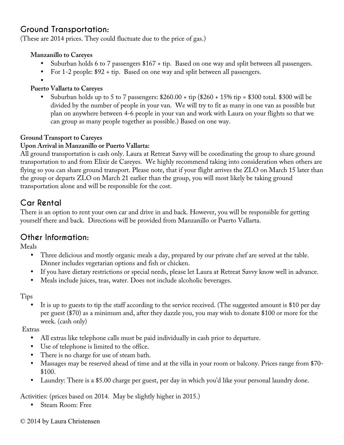# **Ground Transportation:**

(These are 2014 prices. They could fluctuate due to the price of gas.)

#### **Manzanillo to Careyes**

- Suburban holds 6 to 7 passengers \$167 + tip. Based on one way and split between all passengers.
- For 1-2 people: \$92 + tip. Based on one way and split between all passengers.
- •

#### **Puerto Vallarta to Careyes**

• Suburban holds up to 5 to 7 passengers: \$260.00 + tip (\$260 + 15% tip = \$300 total. \$300 will be divided by the number of people in your van. We will try to fit as many in one van as possible but plan on anywhere between 4-6 people in your van and work with Laura on your flights so that we can group as many people together as possible.) Based on one way.

### **Ground Transport to Careyes**

### **Upon Arrival in Manzanillo or Puerto Vallarta:**

All ground transportation is cash only. Laura at Retreat Savvy will be coordinating the group to share ground transportation to and from Elixir de Careyes. We highly recommend taking into consideration when others are flying so you can share ground transport. Please note, that if your flight arrives the ZLO on March 15 later than the group or departs ZLO on March 21 earlier than the group, you will most likely be taking ground transportation alone and will be responsible for the cost.

# **Car Rental**

There is an option to rent your own car and drive in and back. However, you will be responsible for getting yourself there and back. Directions will be provided from Manzanillo or Puerto Vallarta.

## **Other Information:**

Meals

- Three delicious and mostly organic meals a day, prepared by our private chef are served at the table. Dinner includes vegetarian options and fish or chicken.
- If you have dietary restrictions or special needs, please let Laura at Retreat Savvy know well in advance.
- Meals include juices, teas, water. Does not include alcoholic beverages.

Tips

It is up to guests to tip the staff according to the service received. (The suggested amount is \$10 per day per guest (\$70) as a minimum and, after they dazzle you, you may wish to donate \$100 or more for the week. (cash only)

Extras

- All extras like telephone calls must be paid individually in cash prior to departure.
- Use of telephone is limited to the office.
- There is no charge for use of steam bath.
- Massages may be reserved ahead of time and at the villa in your room or balcony. Prices range from \$70- \$100.
- Laundry: There is a \$5.00 charge per guest, per day in which you'd like your personal laundry done.

Activities: (prices based on 2014. May be slightly higher in 2015.)

• Steam Room: Free

#### © 2014 by Laura Christensen